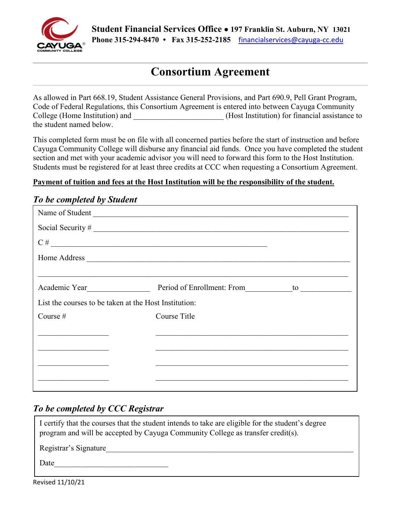

# **Consortium Agreement**

As allowed in Part 668.19, Student Assistance General Provisions, and Part 690.9, Pell Grant Program, Code of Federal Regulations, this Consortium Agreement is entered into between Cayuga Community College (Home Institution) and  $(Host Institution)$  for financial assistance to the student named below.

This completed form must be on file with all concerned parties before the start of instruction and before Cayuga Community College will disburse any financial aid funds. Once you have completed the student section and met with your academic advisor you will need to forward this form to the Host Institution. Students must be registered for at least three credits at CCC when requesting a Consortium Agreement.

#### **Payment of tuition and fees at the Host Institution will be the responsibility of the student.**

#### *To be completed by Student*

| $C \#$                                                         |  |  |  |  |
|----------------------------------------------------------------|--|--|--|--|
|                                                                |  |  |  |  |
|                                                                |  |  |  |  |
| Academic Year Nettle Period of Enrollment: From to League 10 1 |  |  |  |  |
| List the courses to be taken at the Host Institution:          |  |  |  |  |
| Course Title                                                   |  |  |  |  |
|                                                                |  |  |  |  |
|                                                                |  |  |  |  |
|                                                                |  |  |  |  |
|                                                                |  |  |  |  |
|                                                                |  |  |  |  |

## *To be completed by CCC Registrar*

| I certify that the courses that the student intends to take are eligible for the student's degree<br>program and will be accepted by Cayuga Community College as transfer credit(s). |
|--------------------------------------------------------------------------------------------------------------------------------------------------------------------------------------|
| Registrar's Signature                                                                                                                                                                |
| Date                                                                                                                                                                                 |